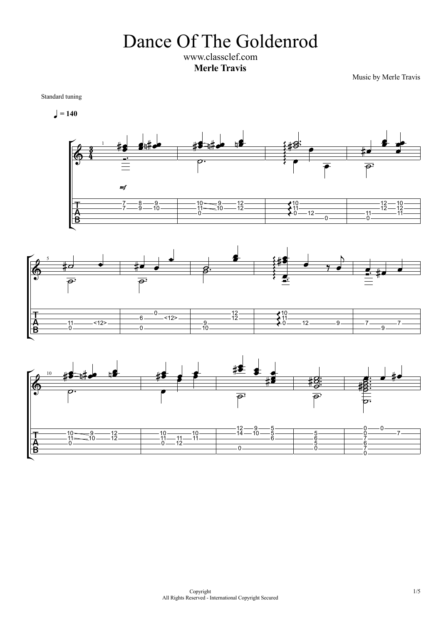## Dance Of The Goldenrod www.classclef.com

**Merle Travis**

Music by Merle Travis

Standard tuning

 $= 140$ 





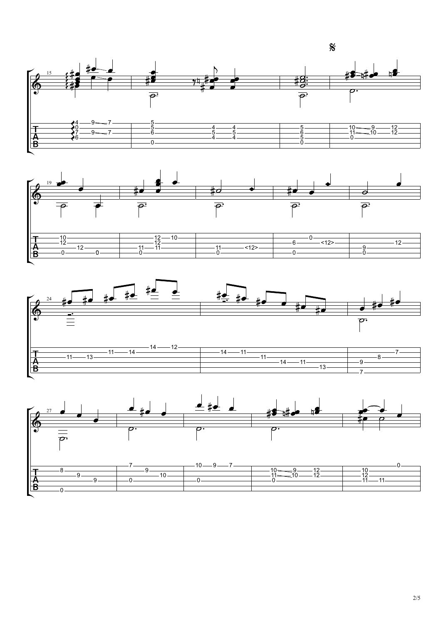







2/5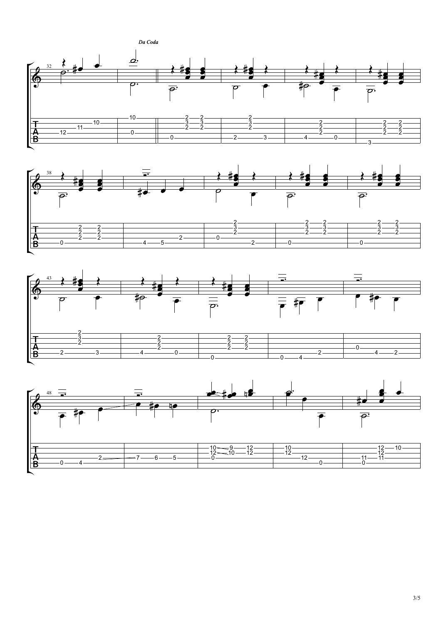





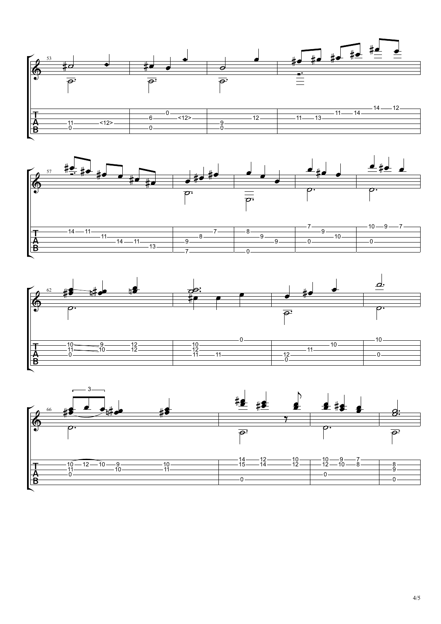